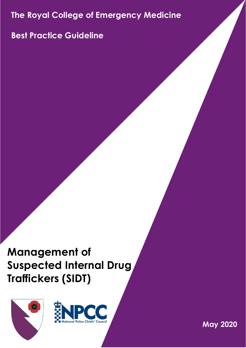**The Royal College of Emergency Medicine**

**Best Practice Guideline**

**Management of Suspected Internal Drug Traffickers (SIDT)**





**May 2020**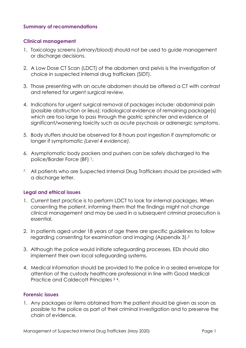# **Summary of recommendations**

# **Clinical management**

- 1. Toxicology screens (urinary/blood) should not be used to guide management or discharge decisions.
- 2. A Low Dose CT Scan (LDCT) of the abdomen and pelvis is the investigation of choice in suspected internal drug traffickers (SIDT).
- 3. Those presenting with an acute abdomen should be offered a CT with contrast and referred for urgent surgical review.
- 4. Indications for urgent surgical removal of packages include: abdominal pain (possible obstruction or ileus); radiological evidence of remaining package(s) which are too large to pass through the gastric sphincter and evidence of significant/worsening toxicity such as acute psychosis or adrenergic symptoms.
- 5. Body stuffers should be observed for 8 hours post ingestion if asymptomatic or longer if symptomatic *(Level 4 evidence).*
- 6. Asymptomatic body packers and pushers can be safely discharged to the police/Border Force (BF) <sup>1</sup>.
- 7. All patients who are Suspected Internal Drug Traffickers should be provided with a discharge letter.

# **Legal and ethical issues**

- 1. Current best practice is to perform LDCT to look for internal packages. When consenting the patient, informing them that the findings might not change clinical management and may be used in a subsequent criminal prosecution is essential.
- 2. In patients aged under 18 years of age there are specific guidelines to follow regarding consenting for examination and imaging (Appendix 3).<sup>2</sup>
- 3. Although the police would initiate safeguarding processes, EDs should also implement their own local safeguarding systems.
- 4. Medical information should be provided to the police in a sealed envelope for attention of the custody healthcare professional in line with Good Medical Practice and Caldecott Principles <sup>3</sup> <sup>4</sup>.

# **Forensic issues**

1. Any packages or items obtained from the patient should be given as soon as possible to the police as part of their criminal investigation and to preserve the chain of evidence.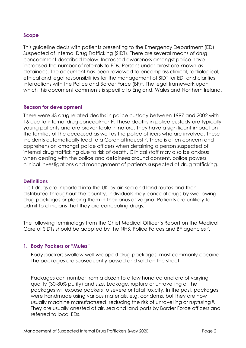# **Scope**

This guideline deals with patients presenting to the Emergency Department (ED) Suspected of Internal Drug Trafficking (SIDT). There are several means of drug concealment described below. Increased awareness amongst police have increased the number of referrals to EDs. Persons under arrest are known as detainees. The document has been reviewed to encompass clinical, radiological, ethical and legal responsibilities for the management of SIDT for ED, and clarifies interactions with the Police and Border Force (BF)<sup>5</sup>. The legal framework upon which this document comments is specific to England, Wales and Northern Ireland.

# **Reason for development**

There were 43 drug related deaths in police custody between 1997 and 2002 with 16 due to internal drug concealment<sup>6</sup>. These deaths in police custody are typically young patients and are preventable in nature. They have a significant impact on the families of the deceased as well as the police officers who are involved. These incidents automatically lead to a Coronial Inquest 7. There is often concern and apprehension amongst police officers when detaining a person suspected of internal drug trafficking due to risk of death. Clinical staff may also be anxious when dealing with the police and detainees around consent, police powers, clinical investigations and management of patients suspected of drug trafficking.

# **Definitions**

Illicit drugs are imported into the UK by air, sea and land routes and then distributed throughout the country. Individuals may conceal drugs by swallowing drug packages or placing them in their anus or vagina. Patients are unlikely to admit to clinicians that they are concealing drugs.

The following terminology from the Chief Medical Officer's Report on the Medical Care of SIDTs should be adopted by the NHS, Police Forces and BF agencies <sup>7</sup>.

# **1. Body Packers or "Mules"**

Body packers swallow well wrapped drug packages, most commonly cocaine The packages are subsequently passed and sold on the street.

Packages can number from a dozen to a few hundred and are of varying quality (30-80% purity) and size. Leakage, rupture or unravelling of the packages will expose packers to severe or fatal toxicity. In the past, packages were handmade using various materials, e.g. condoms, but they are now usually machine manufactured, reducing the risk of unravelling or rupturing <sup>8</sup>. They are usually arrested at air, sea and land ports by Border Force officers and referred to local EDs.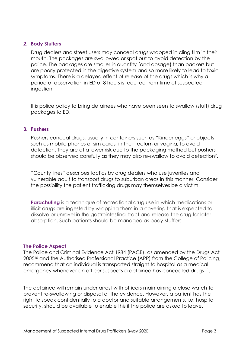# **2. Body Stuffers**

Drug dealers and street users may conceal drugs wrapped in cling film in their mouth. The packages are swallowed or spat out to avoid detection by the police. The packages are smaller in quantity (and dosage) than packers but are poorly protected in the digestive system and so more likely to lead to toxic symptoms. There is a delayed effect of release of the drugs which is why a period of observation in ED of 8 hours is required from time of suspected ingestion.

It is police policy to bring detainees who have been seen to swallow (stuff) drug packages to ED.

# **3. Pushers**

Pushers conceal drugs, usually in containers such as "Kinder eggs" or objects such as mobile phones or sim cards, in their rectum or vagina, to avoid detection. They are at a lower risk due to the packaging method but pushers should be observed carefully as they may also re-swallow to avoid detection<sup>9</sup>.

"County lines" describes tactics by drug dealers who use juveniles and vulnerable adult to transport drugs to suburban areas in this manner. Consider the possibility the patient trafficking drugs may themselves be a victim.

**Parachuting** is a technique of recreational drug use in which medications or illicit drugs are ingested by wrapping them in a covering that is expected to dissolve or unravel in the gastrointestinal tract and release the drug for later absorption. Such patients should be managed as body-stuffers.

# **The Police Aspect**

The Police and Criminal Evidence Act 1984 (PACE), as amended by the Drugs Act 2005<sup>10</sup> and the Authorised Professional Practice (APP) from the College of Policing, recommend that an individual is transported straight to hospital as a medical emergency whenever an officer suspects a detainee has concealed drugs <sup>11</sup>.

The detainee will remain under arrest with officers maintaining a close watch to prevent re-swallowing or disposal of the evidence. However, a patient has the right to speak confidentially to a doctor and suitable arrangements, i.e. hospital security, should be available to enable this if the police are asked to leave.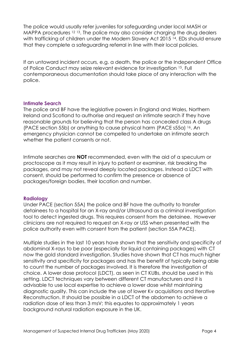The police would usually refer juveniles for safeguarding under local MASH or MAPPA procedures <sup>12 13</sup>. The police may also consider charging the drug dealers with trafficking of children under the Modern Slavery Act 2015<sup>14</sup>. EDs should ensure that they complete a safeguarding referral in line with their local policies.

If an untoward incident occurs, e.g. a death, the police or the Independent Office of Police Conduct may seize relevant evidence for investigation <sup>15</sup>. Full contemporaneous documentation should take place of any interaction with the police.

# **Intimate Search**

The police and BF have the legislative powers in England and Wales, Northern Ireland and Scotland to authorise and request an intimate search if they have reasonable grounds for believing that the person has concealed class A drugs (PACE section 55b) or anything to cause physical harm (PACE s55a) 16. An emergency physician cannot be compelled to undertake an intimate search whether the patient consents or not.

Intimate searches are **NOT** recommended, even with the aid of a speculum or proctoscope as it may result in injury to patient or examiner, risk breaking the packages, and may not reveal deeply located packages. Instead a LDCT with consent, should be performed to confirm the presence or absence of packages/foreign bodies, their location and number.

# **Radiology**

Under PACE (section 55A) the police and BF have the authority to transfer detainees to a hospital for an X-ray and/or Ultrasound as a criminal investigation tool to detect ingested drugs. This requires consent from the detainee. However clinicians are not required to request an X-ray or USS when presented with the police authority even with consent from the patient (section 55A PACE).

Multiple studies in the last 10 years have shown that the sensitivity and specificity of abdominal X-rays to be poor (especially for liquid containing packages) with CT now the gold standard investigation. Studies have shown that CT has much higher sensitivity and specificity for packages and has the benefit of typically being able to count the number of packages involved. It is therefore the investigation of choice. A lower dose protocol (LDCT), as seen in CT KUBs, should be used in this setting. LDCT techniques vary between different CT manufacturers and it is advisable to use local expertise to achieve a lower dose whilst maintaining diagnostic quality. This can include the use of lower Kv acquisitions and Iterative Reconstruction. It should be possible in a LDCT of the abdomen to achieve a radiation dose of less than 3 msV; this equates to approximately 1 years background natural radiation exposure in the UK.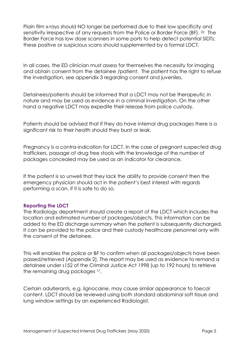Plain film x-rays should NO longer be performed due to their low specificity and sensitivity irrespective of any requests from the Police or Border Force (BF). <sup>22</sup> The Border Force has low dose scanners in some ports to help detect potential SIDTs; these positive or suspicious scans should supplemented by a formal LDCT.

In all cases, the ED clinician must assess for themselves the necessity for imaging and obtain consent from the detainee /patient. The patient has the right to refuse the investigation, see appendix 3 regarding consent and juveniles.

Detainees/patients should be informed that a LDCT may not be therapeutic in nature and may be used as evidence in a criminal investigation. On the other hand a negative LDCT may expedite their release from police custody.

Patients should be advised that if they do have internal drug packages there is a significant risk to their health should they burst or leak.

Pregnancy is a contra-indication for LDCT. In the case of pregnant suspected drug traffickers, passage of drug free stools with the knowledge of the number of packages concealed may be used as an indicator for clearance.

If the patient is so unwell that they lack the ability to provide consent then the emergency physician should act in the patient's best interest with regards performing a scan, if it is safe to do so.

# **Reporting the LDCT**

The Radiology department should create a report of the LDCT which includes the location and estimated number of packages/objects. This information can be added to the ED discharge summary when the patient is subsequently discharged. It can be provided to the police and their custody healthcare personnel only with the consent of the detainee.

This will enables the police or BF to confirm when all packages/objects have been passed/retrieved (Appendix 2). The report may be used as evidence to remand a detainee under s152 of the Criminal Justice Act 1998 (up to 192 hours) to retrieve the remaining drug packages <sup>17</sup>.

Certain adulterants, e.g. lignocaine, may cause similar appearance to faecal content. LDCT should be reviewed using both standard abdominal soft tissue and lung window settings by an experienced Radiologist.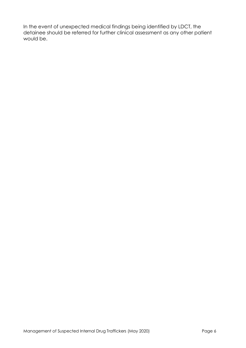In the event of unexpected medical findings being identified by LDCT, the detainee should be referred for further clinical assessment as any other patient would be.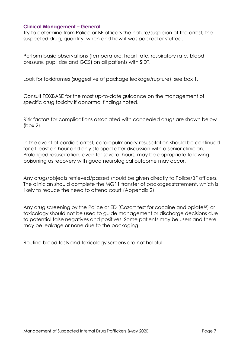# **Clinical Management – General**

Try to determine from Police or BF officers the nature/suspicion of the arrest, the suspected drug, quantity, when and how it was packed or stuffed.

Perform basic observations (temperature, heart rate, respiratory rate, blood pressure, pupil size and GCS) on all patients with SIDT.

Look for toxidromes (suggestive of package leakage/rupture), see box 1.

Consult TOXBASE for the most up-to-date guidance on the management of specific drug toxicity if abnormal findings noted.

Risk factors for complications associated with concealed drugs are shown below (box 2).

In the event of cardiac arrest, cardiopulmonary resuscitation should be continued for at least an hour and only stopped after discussion with a senior clinician. Prolonged resuscitation, even for several hours, may be appropriate following poisoning as recovery with good neurological outcome may occur.

Any drugs/objects retrieved/passed should be given directly to Police/BF officers. The clinician should complete the MG11 transfer of packages statement, which is likely to reduce the need to attend court (Appendix 2).

Any drug screening by the Police or ED (Cozart test for cocaine and opiate<sup>18</sup>) or toxicology should not be used to guide management or discharge decisions due to potential false negatives and positives. Some patients may be users and there may be leakage or none due to the packaging.

Routine blood tests and toxicology screens are not helpful.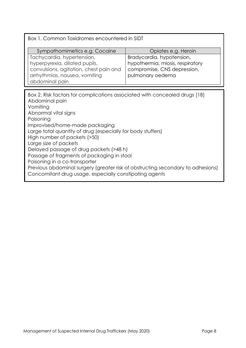Box 1. Common Toxidromes encountered in SIDT

| Sympathomimetics e.g. Cocaine                                           | Opiates e.g. Heroin                                             |
|-------------------------------------------------------------------------|-----------------------------------------------------------------|
| Tachycardia, hypertension,                                              | Bradycardia, hypotension,                                       |
| hyperpyrexia, dilated pupils,<br>convulsions, agitation, chest pain and | hypothermia, miosis, respiratory<br>compromise, CNS depression, |
| arrhythmias, nausea, vomiting                                           | pulmonary oedema                                                |
| abdominal pain                                                          |                                                                 |

Box 2. Risk factors for complications associated with concealed drugs [18] Abdominal pain Vomiting Abnormal vital signs Poisoning Improvised/home-made packaging Large total quantity of drug (especially for body stuffers) High number of packets (>50) Large size of packets Delayed passage of drug packets (>48 h) Passage of fragments of packaging in stool Poisoning in a co-transporter Previous abdominal surgery (greater risk of obstructing secondary to adhesions) Concomitant drug usage, especially constipating agents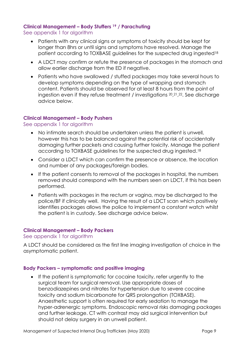# **Clinical Management – Body Stuffers <sup>19</sup> / Parachuting**

See appendix 1 for algorithm

- Patients with any clinical signs or symptoms of toxicity should be kept for longer than 8hrs or until signs and symptoms have resolved. Manage the patient according to TOXBASE guidelines for the suspected drug ingested<sup>18</sup>
- A LDCT may confirm or refute the presence of packages in the stomach and allow earlier discharge from the ED if negative.
- Patients who have swallowed / stuffed packages may take several hours to develop symptoms depending on the type of wrapping and stomach content. Patients should be observed for at least 8 hours from the point of ingestion even if they refuse treatment / investigations <sup>20</sup>, 21, <sup>22</sup>. See discharge advice below.

# **Clinical Management – Body Pushers**

# See appendix 1 for algorithm

- No intimate search should be undertaken unless the patient is unwell, however this has to be balanced against the potential risk of accidentally damaging further packets and causing further toxicity. Manage the patient according to TOXBASE guidelines for the suspected drug ingested.<sup>18</sup>
- Consider a LDCT which can confirm the presence or absence, the location and number of any packages/foreign bodies.
- If the patient consents to removal of the packages in hospital, the numbers removed should correspond with the numbers seen on LDCT, if this has been performed.
- Patients with packages in the rectum or vagina, may be discharged to the police/BF if clinically well. Having the result of a LDCT scan which positively identifies packages allows the police to implement a constant watch whilst the patient is in custody. See discharge advice below.

# **Clinical Management – Body Packers**

#### See appendix 1 for algorithm

A LDCT should be considered as the first line imaging investigation of choice in the asymptomatic patient.

# **Body Packers – symptomatic and positive imaging**

• If the patient is symptomatic for cocaine toxicity, refer urgently to the surgical team for surgical removal. Use appropriate doses of benzodiazepines and nitrates for hypertension due to severe cocaine toxicity and sodium bicarbonate for QRS prolongation (TOXBASE). Anaesthetic support is often required for early sedation to manage the hyper-adrenergic symptoms. Endoscopic removal risks damaging packages and further leakage. CT with contrast may aid surgical intervention but should not delay surgery in an unwell patient.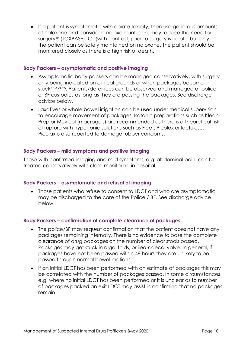• If a patient is symptomatic with opiate toxicity, then use generous amounts of naloxone and consider a naloxone infusion, may reduce the need for surgery<sup>18</sup> (TOXBASE). CT (with contrast) prior to surgery is helpful but only if the patient can be safely maintained on naloxone. The patient should be monitored closely as there is a high risk of death.

# **Body Packers – asymptomatic and positive imaging**

- Asymptomatic body packers can be managed conservatively, with surgery only being indicated on clinical grounds or when packages become stuck5,23,24,25. Patients/detainees can be observed and managed at police or BF custodies as long as they are passing the packages. See discharge advice below.
- Laxatives or whole bowel irrigation can be used under medical supervision to encourage movement of packages. Isotonic preparations such as Klean-Prep or Movicol (macrogols) are recommended as there is a theoretical risk of rupture with hypertonic solutions such as Fleet, Picolax or lactulose. Picolax is also reported to damage rubber condoms.

# **Body Packers – mild symptoms and positive imaging**

Those with confirmed imaging and mild symptoms, e.g. abdominal pain, can be treated conservatively with close monitoring in hospital.

# **Body Packers – asymptomatic and refusal of imaging**

• Those patients who refuse to consent to LDCT and who are asymptomatic may be discharged to the care of the Police / BF. See discharge advice below.

# **Body Packers – confirmation of complete clearance of packages**

- The police/BF may request confirmation that the patient does not have any packages remaining internally. There is no evidence to base the complete clearance of drug packages on the number of clear stools passed. Packages may get stuck in rugal folds, or ileo-caecal valve. In general, if packages have not been passed within 48 hours they are unlikely to be passed through normal bowel motions.
- If an initial LDCT has been performed with an estimate of packages this may be correlated with the number of packages passed. In some circumstances, e.g. where no initial LDCT has been performed or it is unclear as to number of packages packed an exit LDCT may assist in confirming that no packages remain.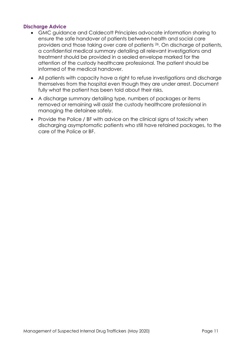# **Discharge Advice**

- GMC guidance and Caldecott Principles advocate information sharing to ensure the safe handover of patients between health and social care providers and those taking over care of patients <sup>26</sup>. On discharge of patients, a confidential medical summary detailing all relevant investigations and treatment should be provided in a sealed envelope marked for the attention of the custody healthcare professional. The patient should be informed of the medical handover.
- All patients with capacity have a right to refuse investigations and discharge themselves from the hospital even though they are under arrest. Document fully what the patient has been told about their risks.
- A discharge summary detailing type, numbers of packages or items removed or remaining will assist the custody healthcare professional in managing the detainee safely.
- Provide the Police / BF with advice on the clinical signs of toxicity when discharging asymptomatic patients who still have retained packages, to the care of the Police or BF.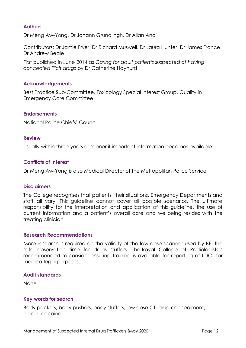# **Authors**

Dr Meng Aw-Yong, Dr Johann Grundlingh, Dr Allan Andi

Contributors: Dr Jamie Fryer, Dr Richard Muswell, Dr Laura Hunter, Dr James France, Dr Andrew Beale

First published in June 2014 as *Caring for adult patients suspected of having concealed illicit drugs* by Dr Catherine Hayhurst

# **Acknowledgements**

Best Practice Sub-Committee, Toxicology Special Interest Group, Quality in Emergency Care Committee.

# **Endorsements**

National Police Chiefs' Council

#### **Review**

Usually within three years or sooner if important information becomes available.

# **Conflicts of Interest**

Dr Meng Aw-Yong is also Medical Director of the Metropolitan Police Service

# **Disclaimers**

The College recognises that patients, their situations, Emergency Departments and staff all vary. This guideline cannot cover all possible scenarios. The ultimate responsibility for the interpretation and application of this guideline, the use of current information and a patient's overall care and wellbeing resides with the treating clinician.

#### **Research Recommendations**

More research is required on the validity of the low dose scanner used by BF, the safe observation time for drugs stuffers. The Royal College of Radiologists is recommended to consider ensuring training is available for reporting of LDCT for medico-legal purposes.

# **Audit standards**

None

# **Key words for search**

Body packers, body pushers, body stuffers, low dose CT, drug concealment, heroin, cocaine.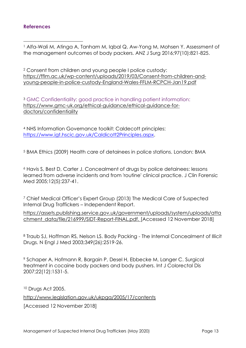# **References**

<sup>1</sup> Alfa-Wali M, Atinga A, Tanham M, Iqbal Q, Aw-Yong M, Mohsen Y. Assessment of the management outcomes of body packers. [ANZ J Surg](https://onlinelibrary.wiley.com/journal/14452197) 2016;97(10):821-825.

<sup>2</sup> Consent from children and young people I police custody: [https://fflm.ac.uk/wp-content/uploads/2019/03/Consent-from-children-and](https://fflm.ac.uk/wp-content/uploads/2019/03/Consent-from-children-and-young-people-in-police-custody-England-Wales-FFLM-RCPCH-Jan19.pdf)[young-people-in-police-custody-England-Wales-FFLM-RCPCH-Jan19.pdf](https://fflm.ac.uk/wp-content/uploads/2019/03/Consent-from-children-and-young-people-in-police-custody-England-Wales-FFLM-RCPCH-Jan19.pdf)

<sup>3</sup> GMC Confidentiality: good practice in handling patient information: [https://www.gmc-uk.org/ethical-guidance/ethical-guidance-for](https://www.gmc-uk.org/ethical-guidance/ethical-guidance-for-doctors/confidentiality)[doctors/confidentiality](https://www.gmc-uk.org/ethical-guidance/ethical-guidance-for-doctors/confidentiality)

<sup>4</sup> NHS Information Governance toolkit: Caldecott principles: [https://www.igt.hscic.gov.uk/Caldicott2Principles.aspx.](https://www.igt.hscic.gov.uk/Caldicott2Principles.aspx)

<sup>5</sup> BMA Ethics (2009) Health care of detainees in police stations. London: BMA

<sup>6</sup> Havis S, Best D, Carter J. Concealment of drugs by police detainees: lessons learned from adverse incidents and from 'routine' clinical practice. J Clin Forensic Med 2005;12(5):237-41.

<sup>7</sup> Chief Medical Officer's Expert Group (2013) The Medical Care of Suspected Internal Drug Traffickers – Independent Report.

[https://assets.publishing.service.gov.uk/government/uploads/system/uploads/atta](https://assets.publishing.service.gov.uk/government/uploads/system/uploads/attachment_data/file/216999/SIDT-Report-FINAL.pdf) [chment\\_data/file/216999/SIDT-Report-FINAL.pdf.](https://assets.publishing.service.gov.uk/government/uploads/system/uploads/attachment_data/file/216999/SIDT-Report-FINAL.pdf) [Accessed 12 November 2018]

<sup>8</sup> Traub SJ, Hoffman RS, Nelson LS. Body Packing - The Internal Concealment of Illicit Drugs. N Engl J Med 2003;349(26):2519-26.

<sup>9</sup> Schaper A, Hofmann R, Bargain P, Desel H, Ebbecke M, Langer C. Surgical treatment in cocaine body packers and body pushers. Int J Colorectal Dis 2007;22(12):1531-5.

<sup>10</sup> Drugs Act 2005. <http://www.legislation.gov.uk/ukpga/2005/17/contents> [Accessed 12 November 2018]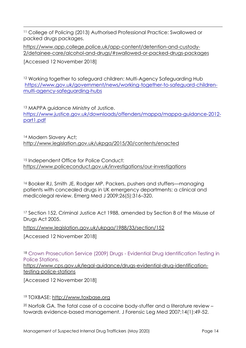<sup>11</sup> College of Policing (2013) Authorised Professional Practice: Swallowed or packed drugs packages.

[https://www.app.college.police.uk/app-content/detention-and-custody-](https://www.app.college.police.uk/app-content/detention-and-custody-2/detainee-care/alcohol-and-drugs/#swallowed-or-packed-drugs-packages)[2/detainee-care/alcohol-and-drugs/#swallowed-or-packed-drugs-packages](https://www.app.college.police.uk/app-content/detention-and-custody-2/detainee-care/alcohol-and-drugs/#swallowed-or-packed-drugs-packages)

[Accessed 12 November 2018]

<sup>12</sup> Working together to safeguard children: Multi-Agency Safeguarding Hub [https://www.gov.uk/government/news/working-together-to-safeguard-children](https://www.gov.uk/government/news/working-together-to-safeguard-children-multi-agency-safeguarding-hubs)[multi-agency-safeguarding-hubs](https://www.gov.uk/government/news/working-together-to-safeguard-children-multi-agency-safeguarding-hubs)

<sup>13</sup> MAPPA guidance Ministry of Justice. [https://www.justice.gov.uk/downloads/offenders/mappa/mappa-guidance-2012](https://www.justice.gov.uk/downloads/offenders/mappa/mappa-guidance-2012-part1.pdf) [part1.pdf](https://www.justice.gov.uk/downloads/offenders/mappa/mappa-guidance-2012-part1.pdf)

<sup>14</sup> Modern Slavery Act; <http://www.legislation.gov.uk/ukpga/2015/30/contents/enacted>

15 Independent Office for Police Conduct: <https://www.policeconduct.gov.uk/investigations/our-investigations>

<sup>16</sup> Booker RJ, Smith JE, Rodger MP. Packers, pushers and stuffers—managing patients with concealed drugs in UK emergency departments: a clinical and medicolegal review. Emerg Med J 2009;26(5):316–320.

<sup>17</sup> Section 152, Criminal Justice Act 1988, amended by Section 8 of the Misuse of Drugs Act 2005.

<https://www.legislation.gov.uk/ukpga/1988/33/section/152>

[Accessed 12 November 2018]

<sup>18</sup> Crown Prosecution Service (2009) Drugs - Evidential Drug Identification Testing in Police Stations.

[https://www.cps.gov.uk/legal-guidance/drugs-evidential-drug-identification](https://www.cps.gov.uk/legal-guidance/drugs-evidential-drug-identification-testing-police-stations)[testing-police-stations](https://www.cps.gov.uk/legal-guidance/drugs-evidential-drug-identification-testing-police-stations)

[Accessed 12 November 2018]

# <sup>19</sup> TOXBASE: [http://www.toxbase.org](http://www.toxbase.org/)

<sup>20</sup> Norfolk GA. The fatal case of a cocaine body-stuffer and a literature review – towards evidence-based management. [J Forensic Leg Med](http://www.sciencedirect.com/science/journal/1752928X) 2007;14(1):49-52.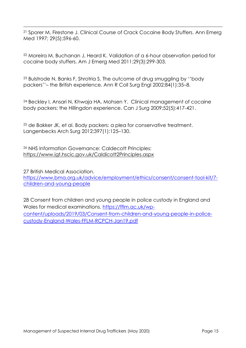<sup>21</sup> Sporer M, Firestone J. Clinical Course of Crack Cocaine Body Stuffers. [Ann Emerg](http://www.sciencedirect.com/science/journal/01960644)  [Med](http://www.sciencedirect.com/science/journal/01960644) 1997; 29(5);596-60.

<sup>22</sup> Moreira M, Buchanan J, Heard K. Validation of a 6-hour observation period for cocaine body stuffers. Am J Emerg Med 2011;29(3):299-303.

<sup>23</sup> Bulstrode N, Banks F, Shrotria S. The outcome of drug smuggling by ''body packers''– the British experience. Ann R Coll Surg Engl 2002;84(1):35–8.

<sup>24</sup> Beckley I, Ansari N, Khwaja HA, Mohsen Y. Clinical management of cocaine body packers: the Hillingdon experience. Can J Surg 2009;52(5):417-421.

<sup>25</sup> de Bakker JK, et al. Body packers: a plea for conservative treatment. Langenbecks Arch Surg 2012;397(1):125–130.

<sup>26</sup> NHS Information Governance: Caldecott Principles: <https://www.igt.hscic.gov.uk/Caldicott2Principles.aspx>

27 British Medical Association. [https://www.bma.org.uk/advice/employment/ethics/consent/consent-tool-kit/7](https://www.bma.org.uk/advice/employment/ethics/consent/consent-tool-kit/7-children-and-young-people) [children-and-young-people](https://www.bma.org.uk/advice/employment/ethics/consent/consent-tool-kit/7-children-and-young-people)

28 Consent from children and young people in police custody in England and Wales for medical examinations. [https://fflm.ac.uk/wp](https://fflm.ac.uk/wp-content/uploads/2019/03/Consent-from-children-and-young-people-in-police-custody-England-Wales-FFLM-RCPCH-Jan19.pdf)[content/uploads/2019/03/Consent-from-children-and-young-people-in-police](https://fflm.ac.uk/wp-content/uploads/2019/03/Consent-from-children-and-young-people-in-police-custody-England-Wales-FFLM-RCPCH-Jan19.pdf)[custody-England-Wales-FFLM-RCPCH-Jan19.pdf](https://fflm.ac.uk/wp-content/uploads/2019/03/Consent-from-children-and-young-people-in-police-custody-England-Wales-FFLM-RCPCH-Jan19.pdf)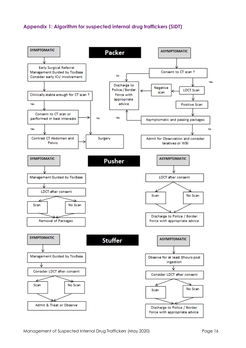# **Appendix 1: Algorithm for suspected internal drug traffickers (SIDT)**

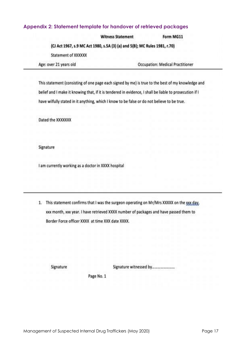# **Appendix 2: Statement template for handover of retrieved packages**

**Witness Statement** 

Form MG11

(CJ Act 1967, s.9 MC Act 1980, s.5A (3) (a) and 5(B); MC Rules 1981, r.70)

Statement of XXXXXX

Age: over 21 years old

Occupation: Medical Practitioner

This statement (consisting of one page each signed by me) is true to the best of my knowledge and belief and I make it knowing that, if it is tendered in evidence, I shall be liable to prosecution if I have wilfully stated in it anything, which I know to be false or do not believe to be true.

Dated the XXXXXXX

Signature

I am currently working as a doctor in XXXX hospital

1. This statement confirms that I was the surgeon operating on Mr/Mrs XXXXX on the xxx day, xxx month, xxx year. I have retrieved XXXX number of packages and have passed them to Border Force officer XXXX at time XXX date XXXX.

Signature

Page No. 1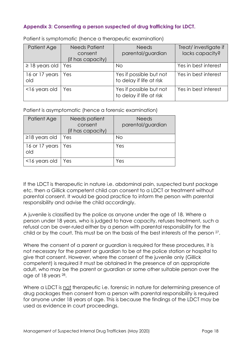# **Appendix 3: Consenting a person suspected of drug trafficking for LDCT.**

| Patient Age           | <b>Needs Patient</b><br>consent<br>(if has capacity) | <b>Needs</b><br>parental/guardian                   | Treat/investigate if<br>lacks capacity? |
|-----------------------|------------------------------------------------------|-----------------------------------------------------|-----------------------------------------|
| $\ge$ 18 years old    | Yes                                                  | No.                                                 | Yes in best interest                    |
| 16 or 17 years<br>old | Yes                                                  | Yes if possible but not<br>to delay if life at risk | Yes in best interest                    |
| <16 years old         | Yes                                                  | Yes if possible but not<br>to delay if life at risk | Yes in best interest                    |

Patient is symptomatic (hence a therapeutic examination)

Patient is asymptomatic (hence a forensic examination)

| Patient Age           | Needs patient<br>consent<br>(if has capacity) | <b>Needs</b><br>parental/guardian |
|-----------------------|-----------------------------------------------|-----------------------------------|
| $\geq$ 18 years old   | Yes                                           | <b>No</b>                         |
| 16 or 17 years<br>old | Yes                                           | Yes                               |
| <16 years old         | Yes                                           | Yes                               |

If the LDCT is therapeutic in nature i.e. abdominal pain, suspected burst package etc. then a Gillick competent child can consent to a LDCT or treatment without parental consent. It would be good practice to inform the person with parental responsibility and advise the child accordingly.

A juvenile is classified by the police as anyone under the age of 18. Where a person under 18 years, who is judged to have capacity, refuses treatment, such a refusal can be over-ruled either by a person with parental responsibility for the child or by the court. This must be on the basis of the best interests of the person 27.

Where the consent of a parent or guardian is required for these procedures, it is not necessary for the parent or guardian to be at the police station or hospital to give that consent. However, where the consent of the juvenile only (Gillick competent) is required it must be obtained in the presence of an appropriate adult, who may be the parent or guardian or some other suitable person over the age of 18 years 28.

Where a LDCT is not therapeutic i.e. forensic in nature for determining presence of drug packages then consent from a person with parental responsibility is required for anyone under 18 years of age. This is because the findings of the LDCT may be used as evidence in court proceedings.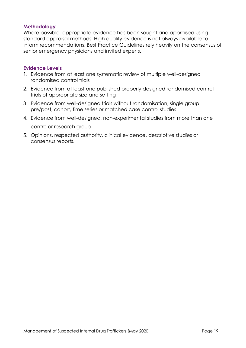# **Methodology**

Where possible, appropriate evidence has been sought and appraised using standard appraisal methods. High quality evidence is not always available to inform recommendations. Best Practice Guidelines rely heavily on the consensus of senior emergency physicians and invited experts.

# **Evidence Levels**

- 1. Evidence from at least one systematic review of multiple well-designed randomised control trials
- 2. Evidence from at least one published properly designed randomised control trials of appropriate size and setting
- 3. Evidence from well-designed trials without randomisation, single group pre/post, cohort, time series or matched case control studies
- 4. Evidence from well-designed, non-experimental studies from more than one centre or research group
- 5. Opinions, respected authority, clinical evidence, descriptive studies or consensus reports.